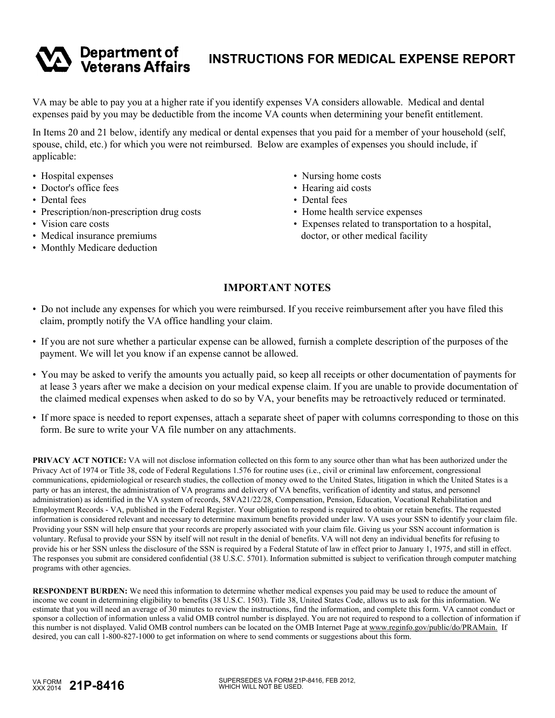## **INSTRUCTIONS FOR MEDICAL EXPENSE REPORT**

VA may be able to pay you at a higher rate if you identify expenses VA considers allowable. Medical and dental expenses paid by you may be deductible from the income VA counts when determining your benefit entitlement.

In Items 20 and 21 below, identify any medical or dental expenses that you paid for a member of your household (self, spouse, child, etc.) for which you were not reimbursed. Below are examples of expenses you should include, if applicable:

- Hospital expenses
- Doctor's office fees
- Dental fees
- Prescription/non-prescription drug costs

**Department of<br>Veterans Affairs** 

- Vision care costs
- Medical insurance premiums
- Monthly Medicare deduction
- Nursing home costs
- Hearing aid costs
- Dental fees
- Home health service expenses
- Expenses related to transportation to a hospital, doctor, or other medical facility

## **IMPORTANT NOTES**

- Do not include any expenses for which you were reimbursed. If you receive reimbursement after you have filed this claim, promptly notify the VA office handling your claim.
- If you are not sure whether a particular expense can be allowed, furnish a complete description of the purposes of the payment. We will let you know if an expense cannot be allowed.
- You may be asked to verify the amounts you actually paid, so keep all receipts or other documentation of payments for at lease 3 years after we make a decision on your medical expense claim. If you are unable to provide documentation of the claimed medical expenses when asked to do so by VA, your benefits may be retroactively reduced or terminated.
- If more space is needed to report expenses, attach a separate sheet of paper with columns corresponding to those on this form. Be sure to write your VA file number on any attachments.

**PRIVACY ACT NOTICE:** VA will not disclose information collected on this form to any source other than what has been authorized under the Privacy Act of 1974 or Title 38, code of Federal Regulations 1.576 for routine uses (i.e., civil or criminal law enforcement, congressional communications, epidemiological or research studies, the collection of money owed to the United States, litigation in which the United States is a party or has an interest, the administration of VA programs and delivery of VA benefits, verification of identity and status, and personnel administration) as identified in the VA system of records, 58VA21/22/28, Compensation, Pension, Education, Vocational Rehabilitation and Employment Records - VA, published in the Federal Register. Your obligation to respond is required to obtain or retain benefits. The requested information is considered relevant and necessary to determine maximum benefits provided under law. VA uses your SSN to identify your claim file. Providing your SSN will help ensure that your records are properly associated with your claim file. Giving us your SSN account information is voluntary. Refusal to provide your SSN by itself will not result in the denial of benefits. VA will not deny an individual benefits for refusing to provide his or her SSN unless the disclosure of the SSN is required by a Federal Statute of law in effect prior to January 1, 1975, and still in effect. The responses you submit are considered confidential (38 U.S.C. 5701). Information submitted is subject to verification through computer matching programs with other agencies.

**RESPONDENT BURDEN:** We need this information to determine whether medical expenses you paid may be used to reduce the amount of income we count in determining eligibility to benefits (38 U.S.C. 1503). Title 38, United States Code, allows us to ask for this information. We estimate that you will need an average of 30 minutes to review the instructions, find the information, and complete this form. VA cannot conduct or sponsor a collection of information unless a valid OMB control number is displayed. You are not required to respond to a collection of information if this number is not displayed. Valid OMB control numbers can be located on the OMB Internet Page at www.reginfo.gov/public/do/PRAMain. If desired, you can call 1-800-827-1000 to get information on where to send comments or suggestions about this form.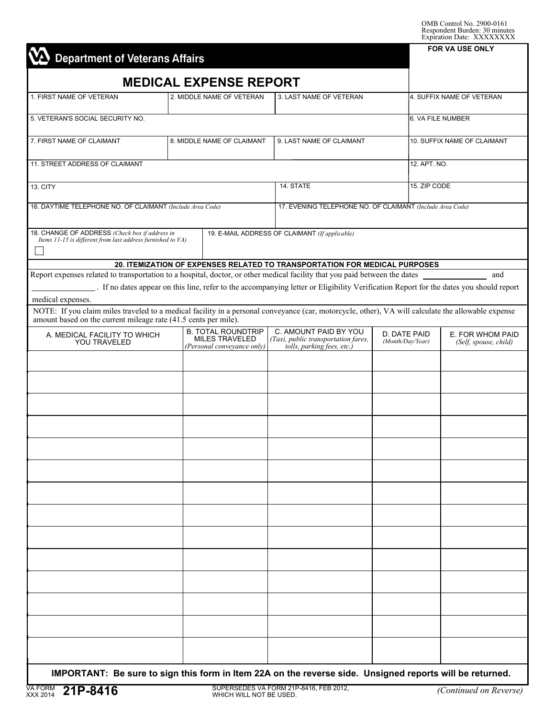| <b>Department of Veterans Affairs</b>                                                                                                                                                                                 |                   |                                                                                  |                                                                                                                                        |                                  |                             | LAPHANON DAIG. AAAAAAAAAA<br>FOR VA USE ONLY |  |  |  |
|-----------------------------------------------------------------------------------------------------------------------------------------------------------------------------------------------------------------------|-------------------|----------------------------------------------------------------------------------|----------------------------------------------------------------------------------------------------------------------------------------|----------------------------------|-----------------------------|----------------------------------------------|--|--|--|
|                                                                                                                                                                                                                       |                   |                                                                                  |                                                                                                                                        |                                  |                             |                                              |  |  |  |
|                                                                                                                                                                                                                       |                   | <b>MEDICAL EXPENSE REPORT</b>                                                    |                                                                                                                                        |                                  |                             |                                              |  |  |  |
| 1. FIRST NAME OF VETERAN                                                                                                                                                                                              |                   | 2. MIDDLE NAME OF VETERAN                                                        | 3. LAST NAME OF VETERAN                                                                                                                |                                  | 4. SUFFIX NAME OF VETERAN   |                                              |  |  |  |
| 5. VETERAN'S SOCIAL SECURITY NO.                                                                                                                                                                                      | 6. VA FILE NUMBER |                                                                                  |                                                                                                                                        |                                  |                             |                                              |  |  |  |
| 7. FIRST NAME OF CLAIMANT                                                                                                                                                                                             |                   | 8. MIDDLE NAME OF CLAIMANT                                                       | 9. LAST NAME OF CLAIMANT                                                                                                               |                                  | 10. SUFFIX NAME OF CLAIMANT |                                              |  |  |  |
| 11. STREET ADDRESS OF CLAIMANT                                                                                                                                                                                        |                   |                                                                                  |                                                                                                                                        |                                  | 12. APT. NO.                |                                              |  |  |  |
| 13. CITY                                                                                                                                                                                                              |                   |                                                                                  | 14. STATE                                                                                                                              | 15. ZIP CODE                     |                             |                                              |  |  |  |
| 16. DAYTIME TELEPHONE NO. OF CLAIMANT (Include Area Code)                                                                                                                                                             |                   |                                                                                  | 17. EVENING TELEPHONE NO. OF CLAIMANT (Include Area Code)                                                                              |                                  |                             |                                              |  |  |  |
| 18. CHANGE OF ADDRESS (Check box if address in<br>Items 11-15 is different from last address furnished to VA)                                                                                                         |                   |                                                                                  | 19. E-MAIL ADDRESS OF CLAIMANT (If applicable)                                                                                         |                                  |                             |                                              |  |  |  |
|                                                                                                                                                                                                                       |                   |                                                                                  | 20. ITEMIZATION OF EXPENSES RELATED TO TRANSPORTATION FOR MEDICAL PURPOSES                                                             |                                  |                             |                                              |  |  |  |
| Report expenses related to transportation to a hospital, doctor, or other medical facility that you paid between the dates<br>and                                                                                     |                   |                                                                                  |                                                                                                                                        |                                  |                             |                                              |  |  |  |
| medical expenses.                                                                                                                                                                                                     |                   |                                                                                  | . If no dates appear on this line, refer to the accompanying letter or Eligibility Verification Report for the dates you should report |                                  |                             |                                              |  |  |  |
| NOTE: If you claim miles traveled to a medical facility in a personal conveyance (car, motorcycle, other), VA will calculate the allowable expense<br>amount based on the current mileage rate (41.5 cents per mile). |                   |                                                                                  |                                                                                                                                        |                                  |                             |                                              |  |  |  |
| A. MEDICAL FACILITY TO WHICH<br>YOU TRAVELED                                                                                                                                                                          |                   | <b>B. TOTAL ROUNDTRIP</b><br><b>MILES TRAVELED</b><br>(Personal conveyance only) | C. AMOUNT PAID BY YOU<br>(Taxi, public transportation fares,<br>tolls, parking fees, etc.)                                             | D. DATE PAID<br>(Month/Day/Year) |                             | E. FOR WHOM PAID<br>(Self, spouse, child)    |  |  |  |
|                                                                                                                                                                                                                       |                   |                                                                                  |                                                                                                                                        |                                  |                             |                                              |  |  |  |
|                                                                                                                                                                                                                       |                   |                                                                                  |                                                                                                                                        |                                  |                             |                                              |  |  |  |
|                                                                                                                                                                                                                       |                   |                                                                                  |                                                                                                                                        |                                  |                             |                                              |  |  |  |
|                                                                                                                                                                                                                       |                   |                                                                                  |                                                                                                                                        |                                  |                             |                                              |  |  |  |
|                                                                                                                                                                                                                       |                   |                                                                                  |                                                                                                                                        |                                  |                             |                                              |  |  |  |
|                                                                                                                                                                                                                       |                   |                                                                                  |                                                                                                                                        |                                  |                             |                                              |  |  |  |
|                                                                                                                                                                                                                       |                   |                                                                                  |                                                                                                                                        |                                  |                             |                                              |  |  |  |
|                                                                                                                                                                                                                       |                   |                                                                                  |                                                                                                                                        |                                  |                             |                                              |  |  |  |
|                                                                                                                                                                                                                       |                   |                                                                                  |                                                                                                                                        |                                  |                             |                                              |  |  |  |
|                                                                                                                                                                                                                       |                   |                                                                                  |                                                                                                                                        |                                  |                             |                                              |  |  |  |
|                                                                                                                                                                                                                       |                   |                                                                                  |                                                                                                                                        |                                  |                             |                                              |  |  |  |
|                                                                                                                                                                                                                       |                   |                                                                                  |                                                                                                                                        |                                  |                             |                                              |  |  |  |
|                                                                                                                                                                                                                       |                   |                                                                                  |                                                                                                                                        |                                  |                             |                                              |  |  |  |
|                                                                                                                                                                                                                       |                   |                                                                                  |                                                                                                                                        |                                  |                             |                                              |  |  |  |
|                                                                                                                                                                                                                       |                   |                                                                                  |                                                                                                                                        |                                  |                             |                                              |  |  |  |

 **IMPORTANT: Be sure to sign this form in Item 22A on the reverse side. Unsigned reports will be returned.**